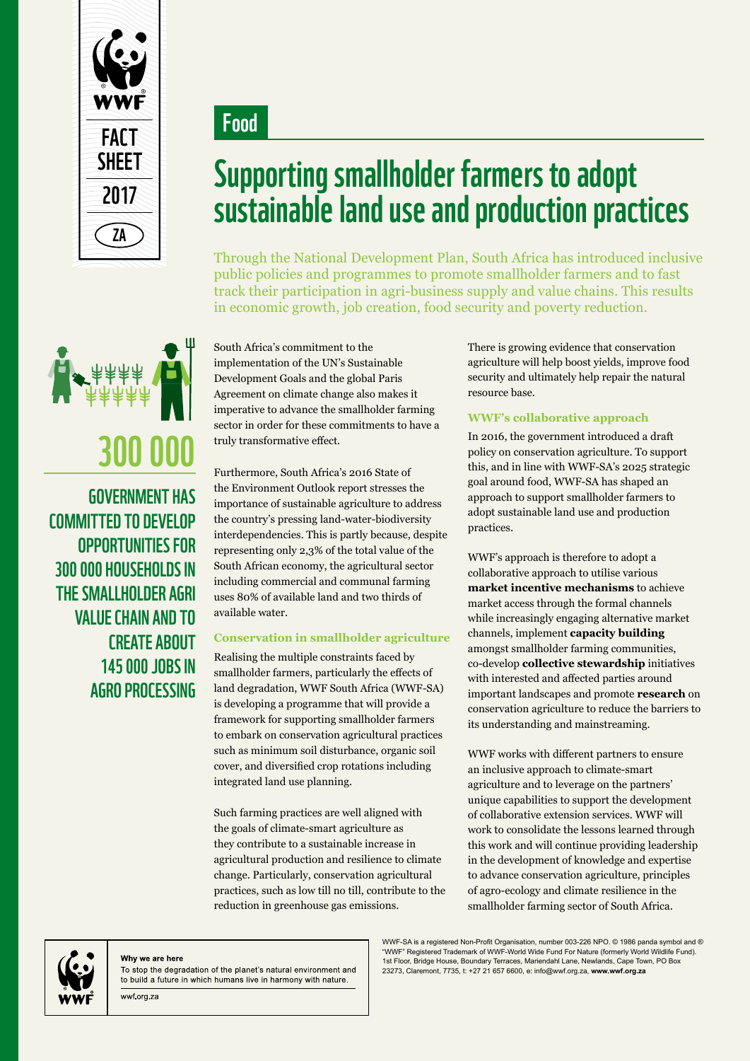

Food



government has committed to develop opportunities for 300 000 households in the smallholder agri value chain and to create about 145 000 jobs in agro processing

## Supporting smallholder farmers to adopt sustainable land use and production practices

Through the National Development Plan, South Africa has introduced inclusive public policies and programmes to promote smallholder farmers and to fast track their participation in agri-business supply and value chains. This results in economic growth, job creation, food security and poverty reduction.

South Africa's commitment to the implementation of the UN's Sustainable Development Goals and the global Paris Agreement on climate change also makes it imperative to advance the smallholder farming sector in order for these commitments to have a truly transformative effect.

Furthermore, South Africa's 2016 State of the Environment Outlook report stresses the importance of sustainable agriculture to address the country's pressing land-water-biodiversity interdependencies. This is partly because, despite representing only 2,3% of the total value of the South African economy, the agricultural sector including commercial and communal farming uses 80% of available land and two thirds of available water.

#### **Conservation in smallholder agriculture**

Realising the multiple constraints faced by smallholder farmers, particularly the effects of land degradation, WWF South Africa (WWF-SA) is developing a programme that will provide a framework for supporting smallholder farmers to embark on conservation agricultural practices such as minimum soil disturbance, organic soil cover, and diversified crop rotations including integrated land use planning.

Such farming practices are well aligned with the goals of climate-smart agriculture as they contribute to a sustainable increase in agricultural production and resilience to climate change. Particularly, conservation agricultural practices, such as low till no till, contribute to the reduction in greenhouse gas emissions.

There is growing evidence that conservation agriculture will help boost yields, improve food security and ultimately help repair the natural resource base.

#### **WWF's collaborative approach**

In 2016, the government introduced a draft policy on conservation agriculture. To support this, and in line with WWF-SA's 2025 strategic goal around food, WWF-SA has shaped an approach to support smallholder farmers to adopt sustainable land use and production practices.

WWF's approach is therefore to adopt a collaborative approach to utilise various **market incentive mechanisms** to achieve market access through the formal channels while increasingly engaging alternative market channels, implement **capacity building** amongst smallholder farming communities, co-develop **collective stewardship** initiatives with interested and affected parties around important landscapes and promote **research** on conservation agriculture to reduce the barriers to its understanding and mainstreaming.

WWF works with different partners to ensure an inclusive approach to climate-smart agriculture and to leverage on the partners' unique capabilities to support the development of collaborative extension services. WWF will work to consolidate the lessons learned through this work and will continue providing leadership in the development of knowledge and expertise to advance conservation agriculture, principles of agro-ecology and climate resilience in the smallholder farming sector of South Africa.



#### Why we are here

wwf.org.za

To stop the degradation of the planet's natural environment and to build a future in which humans live in harmony with nature.

WWF-SA is a registered Non-Profit Organisation, number 003-226 NPO. © 1986 panda symbol and ® "WWF" Registered Trademark of WWF-World Wide Fund For Nature (formerly World Wildlife Fund). 1st Floor, Bridge House, Boundary Terraces, Mariendahl Lane, Newlands, Cape Town, PO Box 23273, Claremont, 7735, t: +27 21 657 6600, e: info@wwf.org.za, **www.wwf.org.za**